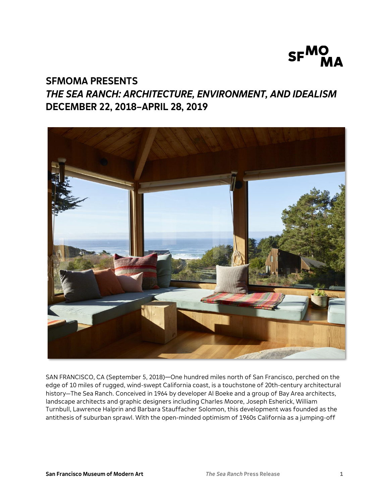

# **SFMOMA PRESENTS** *THE SEA RANCH: ARCHITECTURE, ENVIRONMENT, AND IDEALISM* **DECEMBER 22, 2018–APRIL 28, 2019**



SAN FRANCISCO, CA (September 5, 2018)—One hundred miles north of San Francisco, perched on the edge of 10 miles of rugged, wind-swept California coast, is a touchstone of 20th-century architectural history—The Sea Ranch. Conceived in 1964 by developer Al Boeke and a group of Bay Area architects, landscape architects and graphic designers including Charles Moore, Joseph Esherick, William Turnbull, Lawrence Halprin and Barbara Stauffacher Solomon, this development was founded as the antithesis of suburban sprawl. With the open-minded optimism of 1960s California as a jumping-off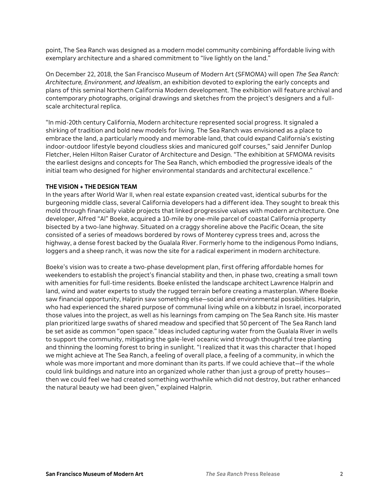point, The Sea Ranch was designed as a modern model community combining affordable living with exemplary architecture and a shared commitment to "live lightly on the land."

On December 22, 2018, the San Francisco Museum of Modern Art (SFMOMA) will open *The Sea Ranch: Architecture, Environment, and Idealism*, an exhibition devoted to exploring the early concepts and plans of this seminal Northern California Modern development. The exhibition will feature archival and contemporary photographs, original drawings and sketches from the project's designers and a fullscale architectural replica.

"In mid-20th century California, Modern architecture represented social progress. It signaled a shirking of tradition and bold new models for living. The Sea Ranch was envisioned as a place to embrace the land, a particularly moody and memorable land, that could expand California's existing indoor-outdoor lifestyle beyond cloudless skies and manicured golf courses," said Jennifer Dunlop Fletcher, Helen Hilton Raiser Curator of Architecture and Design. "The exhibition at SFMOMA revisits the earliest designs and concepts for The Sea Ranch, which embodied the progressive ideals of the initial team who designed for higher environmental standards and architectural excellence."

#### **THE VISION + THE DESIGN TEAM**

In the years after World War II, when real estate expansion created vast, identical suburbs for the burgeoning middle class, several California developers had a different idea. They sought to break this mold through financially viable projects that linked progressive values with modern architecture. One developer, Alfred "Al" Boeke, acquired a 10-mile by one-mile parcel of coastal California property bisected by a two-lane highway. Situated on a craggy shoreline above the Pacific Ocean, the site consisted of a series of meadows bordered by rows of Monterey cypress trees and, across the highway, a dense forest backed by the Gualala River. Formerly home to the indigenous Pomo Indians, loggers and a sheep ranch, it was now the site for a radical experiment in modern architecture.

Boeke's vision was to create a two-phase development plan, first offering affordable homes for weekenders to establish the project's financial stability and then, in phase two, creating a small town with amenities for full-time residents. Boeke enlisted the landscape architect Lawrence Halprin and land, wind and water experts to study the rugged terrain before creating a masterplan. Where Boeke saw financial opportunity, Halprin saw something else—social and environmental possibilities. Halprin, who had experienced the shared purpose of communal living while on a kibbutz in Israel, incorporated those values into the project, as well as his learnings from camping on The Sea Ranch site. His master plan prioritized large swaths of shared meadow and specified that 50 percent of The Sea Ranch land be set aside as common "open space." Ideas included capturing water from the Gualala River in wells to support the community, mitigating the gale-level oceanic wind through thoughtful tree planting and thinning the looming forest to bring in sunlight. "I realized that it was this character that I hoped we might achieve at The Sea Ranch, a feeling of overall place, a feeling of a community, in which the whole was more important and more dominant than its parts. If we could achieve that—if the whole could link buildings and nature into an organized whole rather than just a group of pretty houses then we could feel we had created something worthwhile which did not destroy, but rather enhanced the natural beauty we had been given," explained Halprin.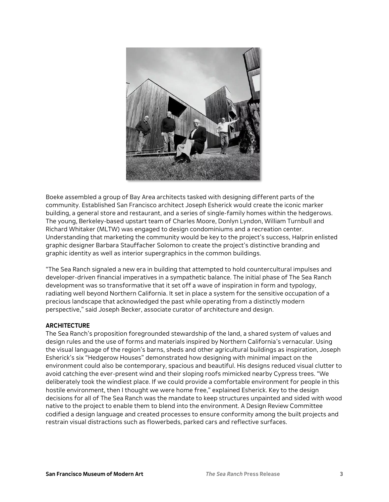

Boeke assembled a group of Bay Area architects tasked with designing different parts of the community. Established San Francisco architect Joseph Esherick would create the iconic marker building, a general store and restaurant, and a series of single-family homes within the hedgerows. The young, Berkeley-based upstart team of Charles Moore, Donlyn Lyndon, William Turnbull and Richard Whitaker (MLTW) was engaged to design condominiums and a recreation center. Understanding that marketing the community would be key to the project's success, Halprin enlisted graphic designer Barbara Stauffacher Solomon to create the project's distinctive branding and graphic identity as well as interior supergraphics in the common buildings.

"The Sea Ranch signaled a new era in building that attempted to hold countercultural impulses and developer-driven financial imperatives in a sympathetic balance. The initial phase of The Sea Ranch development was so transformative that it set off a wave of inspiration in form and typology, radiating well beyond Northern California. It set in place a system for the sensitive occupation of a precious landscape that acknowledged the past while operating from a distinctly modern perspective," said Joseph Becker, associate curator of architecture and design.

## **ARCHITECTURE**

The Sea Ranch's proposition foregrounded stewardship of the land, a shared system of values and design rules and the use of forms and materials inspired by Northern California's vernacular. Using the visual language of the region's barns, sheds and other agricultural buildings as inspiration, Joseph Esherick's six "Hedgerow Houses" demonstrated how designing with minimal impact on the environment could also be contemporary, spacious and beautiful. His designs reduced visual clutter to avoid catching the ever-present wind and their sloping roofs mimicked nearby Cypress trees. "We deliberately took the windiest place. If we could provide a comfortable environment for people in this hostile environment, then I thought we were home free," explained Esherick. Key to the design decisions for all of The Sea Ranch was the mandate to keep structures unpainted and sided with wood native to the project to enable them to blend into the environment. A Design Review Committee codified a design language and created processes to ensure conformity among the built projects and restrain visual distractions such as flowerbeds, parked cars and reflective surfaces.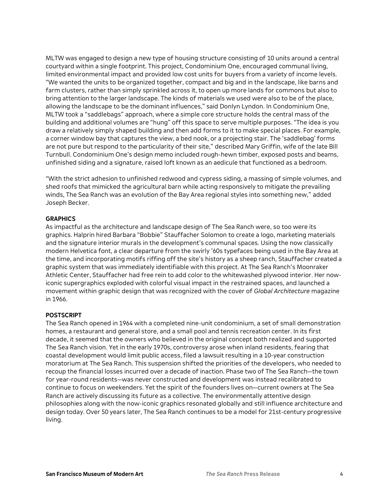MLTW was engaged to design a new type of housing structure consisting of 10 units around a central courtyard within a single footprint. This project, Condominium One, encouraged communal living, limited environmental impact and provided low cost units for buyers from a variety of income levels. "We wanted the units to be organized together, compact and big and in the landscape, like barns and farm clusters, rather than simply sprinkled across it, to open up more lands for commons but also to bring attention to the larger landscape. The kinds of materials we used were also to be of the place, allowing the landscape to be the dominant influences," said Donlyn Lyndon. In Condominium One, MLTW took a "saddlebags" approach, where a simple core structure holds the central mass of the building and additional volumes are "hung" off this space to serve multiple purposes. "The idea is you draw a relatively simply shaped building and then add forms to it to make special places. For example, a corner window bay that captures the view, a bed nook, or a projecting stair. The 'saddlebag' forms are not pure but respond to the particularity of their site," described Mary Griffin, wife of the late Bill Turnbull. Condominium One's design memo included rough-hewn timber, exposed posts and beams, unfinished siding and a signature, raised loft known as an aedicule that functioned as a bedroom.

"With the strict adhesion to unfinished redwood and cypress siding, a massing of simple volumes, and shed roofs that mimicked the agricultural barn while acting responsively to mitigate the prevailing winds, The Sea Ranch was an evolution of the Bay Area regional styles into something new," added Joseph Becker.

# **GRAPHICS**

As impactful as the architecture and landscape design of The Sea Ranch were, so too were its graphics. Halprin hired Barbara "Bobbie" Stauffacher Solomon to create a logo, marketing materials and the signature interior murals in the development's communal spaces. Using the now classically modern Helvetica font, a clear departure from the swirly '60s typefaces being used in the Bay Area at the time, and incorporating motifs riffing off the site's history as a sheep ranch, Stauffacher created a graphic system that was immediately identifiable with this project. At The Sea Ranch's Moonraker Athletic Center, Stauffacher had free rein to add color to the whitewashed plywood interior. Her nowiconic supergraphics exploded with colorful visual impact in the restrained spaces, and launched a movement within graphic design that was recognized with the cover of *Global Architecture* magazine in 1966.

## **POSTSCRIPT**

The Sea Ranch opened in 1964 with a completed nine-unit condominium, a set of small demonstration homes, a restaurant and general store, and a small pool and tennis recreation center. In its first decade, it seemed that the owners who believed in the original concept both realized and supported The Sea Ranch vision. Yet in the early 1970s, controversy arose when inland residents, fearing that coastal development would limit public access, filed a lawsuit resulting in a 10-year construction moratorium at The Sea Ranch. This suspension shifted the priorities of the developers, who needed to recoup the financial losses incurred over a decade of inaction. Phase two of The Sea Ranch—the town for year-round residents—was never constructed and development was instead recalibrated to continue to focus on weekenders. Yet the spirit of the founders lives on—current owners at The Sea Ranch are actively discussing its future as a collective. The environmentally attentive design philosophies along with the now-iconic graphics resonated globally and still influence architecture and design today. Over 50 years later, The Sea Ranch continues to be a model for 21st-century progressive living.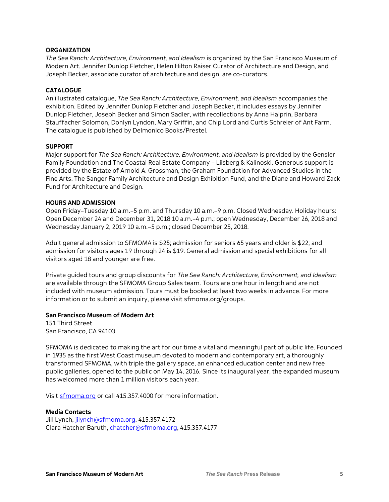## **ORGANIZATION**

*The Sea Ranch: Architecture, Environment, and Idealism* is organized by the San Francisco Museum of Modern Art. Jennifer Dunlop Fletcher, Helen Hilton Raiser Curator of Architecture and Design, and Joseph Becker, associate curator of architecture and design, are co-curators.

# **CATALOGUE**

An illustrated catalogue, *The Sea Ranch: Architecture, Environment, and Idealism* accompanies the exhibition. Edited by Jennifer Dunlop Fletcher and Joseph Becker, it includes essays by Jennifer Dunlop Fletcher, Joseph Becker and Simon Sadler, with recollections by Anna Halprin, Barbara Stauffacher Solomon, Donlyn Lyndon, Mary Griffin, and Chip Lord and Curtis Schreier of Ant Farm. The catalogue is published by Delmonico Books/Prestel.

# **SUPPORT**

Major support for *The Sea Ranch: Architecture, Environment, and Idealism* is provided by the Gensler Family Foundation and The Coastal Real Estate Company – Liisberg & Kalinoski. Generous support is provided by the Estate of Arnold A. Grossman, the Graham Foundation for Advanced Studies in the Fine Arts, The Sanger Family Architecture and Design Exhibition Fund, and the Diane and Howard Zack Fund for Architecture and Design.

## **HOURS AND ADMISSION**

Open Friday–Tuesday 10 a.m.–5 p.m. and Thursday 10 a.m.–9 p.m. Closed Wednesday. Holiday hours: Open December 24 and December 31, 2018 10 a.m.–4 p.m.; open Wednesday, December 26, 2018 and Wednesday January 2, 2019 10 a.m.–5 p.m.; closed December 25, 2018.

Adult general admission to SFMOMA is \$25; admission for seniors 65 years and older is \$22; and admission for visitors ages 19 through 24 is \$19. General admission and special exhibitions for all visitors aged 18 and younger are free.

Private guided tours and group discounts for *The Sea Ranch: Architecture, Environment, and Idealism* are available through the SFMOMA Group Sales team. Tours are one hour in length and are not included with museum admission. Tours must be booked at least two weeks in advance. For more information or to submit an inquiry, please visit [sfmoma.org/groups.](http://www.sfmoma.org/groups)

## **San Francisco Museum of Modern Art**

151 Third Street San Francisco, CA 94103

SFMOMA is dedicated to making the art for our time a vital and meaningful part of public life. Founded in 1935 as the first West Coast museum devoted to modern and contemporary art, a thoroughly transformed SFMOMA, with triple the gallery space, an enhanced education center and new free public galleries, opened to the public on May 14, 2016. Since its inaugural year, the expanded museum has welcomed more than 1 million visitors each year.

Visit [sfmoma.org](http://www.sfmoma.org/) or call 415.357.4000 for more information.

# **Media Contacts**

Jill Lynch[, jilynch@sfmoma.org,](mailto:jilynch@sfmoma.org) 415.357.4172 Clara Hatcher Baruth, [chatcher@sfmoma.org,](mailto:chatcher@sfmoma.org) 415.357.4177